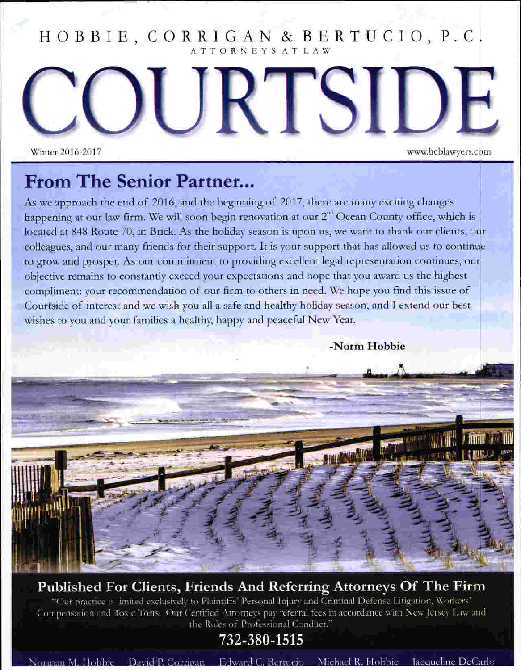#### HOBBIE, CORRIGAN & BERTUCIO, P.C. ATTORNEYS ATLAW

ITSI

Winter 2016-2017

www.hcblawyers.com

### **From The Senior Partner...**

As we approach the end of 2016, and the beginning of 2017, there are many exciting changes happening at our law firm. We will soon begin renovation at our 2<sup>nd</sup> Ocean County office, which is located at 848 Route 70, in Brick. As the holiday season is upon us, we want to thank our clients, our colleagues, and our many friends for their support. It is your support that has allowed us to continue to grow and prosper. As our commitment to providing excellent legal representation continues, our objective remains to constantly exceed your expectations and hope that you award us the highest compliment: your recommendation of our firm to others in need. We hope you find this issue of Courtside of interest and we wish you all a safe and healthy holiday season, and I extend our best wishes to you and your families a healthy, happy and peaceful New Year.

-Norm Hobbie

### Published For Clients, Friends And Referring Attorneys Of The Firm

"Our practice is limited exclusively to Plaintiffs' Personal Injury and Criminal Defense Litigation, Workers' Compensation and Toxic Torts. Our Certified Attorneys pay referral fees in accordance with New Jersey Law and the Rules of Professional Conduct."

### 732-380-1515

Norman M. Hobbie David P. Corrigan Edward C. Bertucio Michael R. Hobbie Jacqueline DeCarlo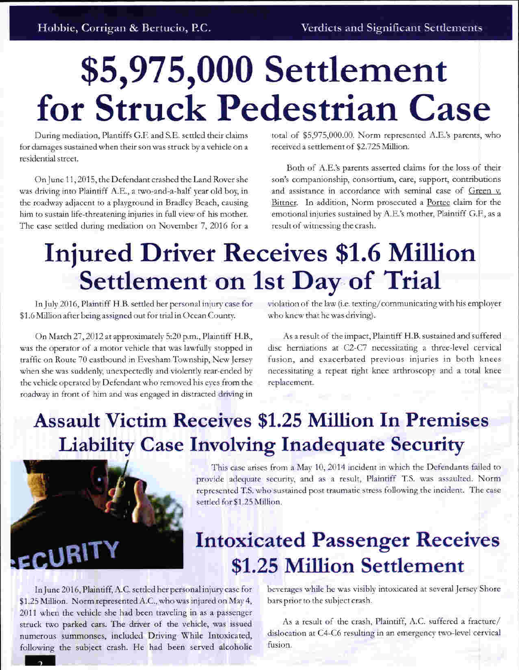# \$5,975,000 Settlement for Struck Pedestrian Case

During mediation, Plantiffs G.F. and S.E. settled their claims for damages sustained when their son was struck by a vehicle on a residential street.

On June 11, 2015, the Defendant crashed the Land Rover she was driving into Plaintiff A.E., a two-and-a-half year old boy, in the roadway adjacent to a playground in Bradley Beach, causing him to sustain life-threatening injuries in full view of his mother. The case settled during mediation on November 7, 2016 for a total of \$5,975,000.00. Norm represented A.E.'s parents, who received a settlement of \$2.725 Million.

Both of A.E.'s parents asserted claims for the loss of their son's companionship, consortium, care, support, contributions and assistance in accordance with seminal case of Green v. Bittner. In addition, Norm prosecuted a Portee claim for the emotional injuries sustained by A.E.'s mother, Plaintiff G.F., as a result of witnessing the crash.

# **Injured Driver Receives \$1.6 Million Settlement on 1st Day of Trial**

In July 2016, Plaintiff H.B. settled her personal injury case for \$1.6 Million after being assigned out for trial in Ocean County.

On March 27, 2012 at approximately 5:20 p.m., Plaintiff H.B., was the operator of a motor vehicle that was lawfully stopped in traffic on Route 70 eastbound in Evesham Township, New Jersey when she was suddenly, unexpectedly and violently rear-ended by the vehicle operated by Defendant who removed his eyes from the roadway in front of him and was engaged in distracted driving in

violation of the law (i.e. texting/communicating with his employer who knew that he was driving).

As a result of the impact, Plaintiff H.B. sustained and suffered disc herniations at C2-C7 necessitating a three-level cervical fusion, and exacerbated previous injuries in both knees necessitating a repeat right knee arthroscopy and a total knee replacement.

### **Assault Victim Receives \$1.25 Million In Premises Liability Case Involving Inadequate Security**



This case arises from a May 10, 2014 incident in which the Defendants failed to provide adequate security, and as a result, Plaintiff T.S. was assaulted. Norm represented T.S. who sustained post traumatic stress following the incident. The case settled for \$1.25 Million.

### **Intoxicated Passenger Receives** \$1.25 Million Settlement

In June 2016, Plaintiff, A.C. settled her personal injury case for \$1.25 Million. Norm represented A.C., who was injured on May 4, 2011 when the vehicle she had been traveling in as a passenger struck two parked cars. The driver of the vehicle, was issued numerous summonses, included Driving While Intoxicated, following the subject crash. He had been served alcoholic

beverages while he was visibly intoxicated at several Jersey Shore bars prior to the subject crash.

As a result of the crash, Plaintiff, A.C. suffered a fracture/ dislocation at C4-C6 resulting in an emergency two-level cervical fusion.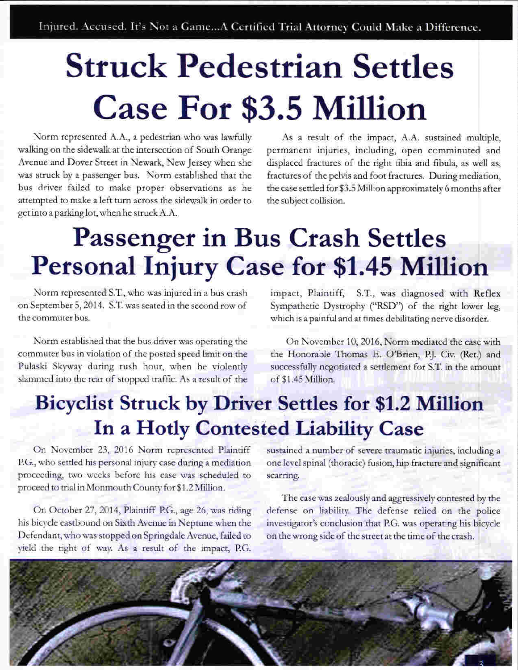# **Struck Pedestrian Settles Case For \$3.5 Million**

Norm represented A.A., a pedestrian who was lawfully walking on the sidewalk at the intersection of South Orange Avenue and Dover Street in Newark, New Jersey when she was struck by a passenger bus. Norm established that the bus driver failed to make proper observations as he attempted to make a left turn across the sidewalk in order to get into a parking lot, when he struck A.A.

As a result of the impact, A.A. sustained multiple, permanent injuries, including, open comminuted and displaced fractures of the right tibia and fibula, as well as, fractures of the pelvis and foot fractures. During mediation, the case settled for \$3.5 Million approximately 6 months after the subject collision.

# **Passenger in Bus Crash Settles Personal Injury Case for \$1.45 Million**

Norm represented S.T., who was injured in a bus crash on September 5, 2014. S.T. was seated in the second row of the commuter bus.

Norm established that the bus driver was operating the commuter bus in violation of the posted speed limit on the Pulaski Skyway during rush hour, when he violently slammed into the rear of stopped traffic. As a result of the impact, Plaintiff, S.T., was diagnosed with Reflex Sympathetic Dystrophy ("RSD") of the right lower leg, which is a painful and at times debilitating nerve disorder.

On November 10, 2016, Norm mediated the case with the Honorable Thomas E. O'Brien, P.J. Civ. (Ret.) and successfully negotiated a settlement for S.T. in the amount of \$1.45 Million.

### **Bicyclist Struck by Driver Settles for \$1.2 Million** In a Hotly Contested Liability Case

On November 23, 2016 Norm represented Plaintiff P.G., who settled his personal injury case during a mediation proceeding, two weeks before his case was scheduled to proceed to trial in Monmouth County for \$1.2 Million.

On October 27, 2014, Plaintiff P.G., age 26, was riding his bicycle eastbound on Sixth Avenue in Neptune when the Defendant, who was stopped on Springdale Avenue, failed to yield the right of way. As a result of the impact, P.G. sustained a number of severe traumatic injuries, including a one level spinal (thoracic) fusion, hip fracture and significant scarring.

The case was zealously and aggressively contested by the defense on liability. The defense relied on the police investigator's conclusion that P.G. was operating his bicycle on the wrong side of the street at the time of the crash.